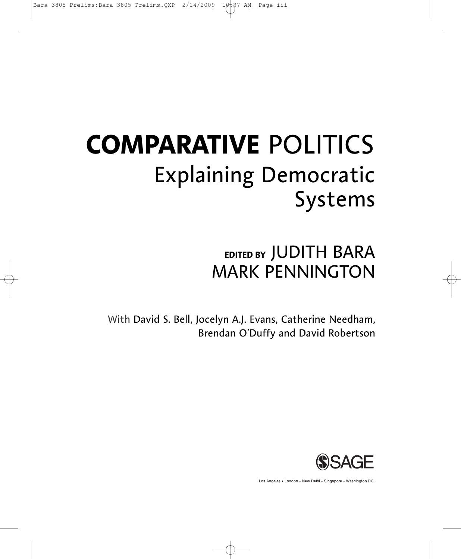# **COMPARATIVE** POLITICS Explaining Democratic Systems

## **EDITED BY** JUDITH BARA MARK PENNINGTON

With David S. Bell, Jocelyn A.J. Evans, Catherine Needham, Brendan O'Duffy and David Robertson



Los Angeles . London . New Delhi . Singapore . Washington DC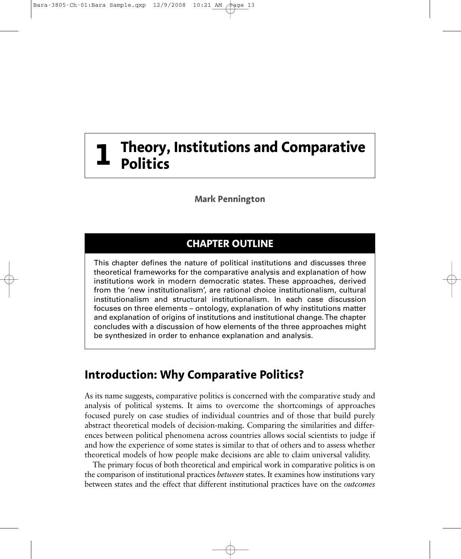**Mark Pennington**

## **CHAPTER OUTLINE**

This chapter defines the nature of political institutions and discusses three theoretical frameworks for the comparative analysis and explanation of how institutions work in modern democratic states. These approaches, derived from the 'new institutionalism', are rational choice institutionalism, cultural institutionalism and structural institutionalism. In each case discussion focuses on three elements – ontology, explanation of why institutions matter and explanation of origins of institutions and institutional change.The chapter concludes with a discussion of how elements of the three approaches might be synthesized in order to enhance explanation and analysis.

## **Introduction: Why Comparative Politics?**

As its name suggests, comparative politics is concerned with the comparative study and analysis of political systems. It aims to overcome the shortcomings of approaches focused purely on case studies of individual countries and of those that build purely abstract theoretical models of decision-making. Comparing the similarities and differences between political phenomena across countries allows social scientists to judge if and how the experience of some states is similar to that of others and to assess whether theoretical models of how people make decisions are able to claim universal validity.

The primary focus of both theoretical and empirical work in comparative politics is on the comparison of institutional practices *between* states. It examines how institutions vary between states and the effect that different institutional practices have on the *outcomes*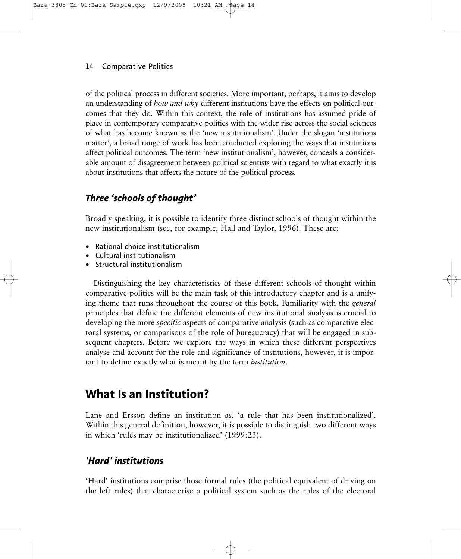of the political process in different societies. More important, perhaps, it aims to develop an understanding of *how and why* different institutions have the effects on political outcomes that they do. Within this context, the role of institutions has assumed pride of place in contemporary comparative politics with the wider rise across the social sciences of what has become known as the 'new institutionalism'. Under the slogan 'institutions matter', a broad range of work has been conducted exploring the ways that institutions affect political outcomes. The term 'new institutionalism', however, conceals a considerable amount of disagreement between political scientists with regard to what exactly it is about institutions that affects the nature of the political process.

## *Three 'schools of thought'*

Broadly speaking, it is possible to identify three distinct schools of thought within the new institutionalism (see, for example, Hall and Taylor, 1996). These are:

- Rational choice institutionalism
- Cultural institutionalism
- Structural institutionalism

Distinguishing the key characteristics of these different schools of thought within comparative politics will be the main task of this introductory chapter and is a unifying theme that runs throughout the course of this book. Familiarity with the *general* principles that define the different elements of new institutional analysis is crucial to developing the more *specific* aspects of comparative analysis (such as comparative electoral systems, or comparisons of the role of bureaucracy) that will be engaged in subsequent chapters. Before we explore the ways in which these different perspectives analyse and account for the role and significance of institutions, however, it is important to define exactly what is meant by the term *institution*.

## **What Is an Institution?**

Lane and Ersson define an institution as, 'a rule that has been institutionalized'. Within this general definition, however, it is possible to distinguish two different ways in which 'rules may be institutionalized' (1999:23).

#### *'Hard' institutions*

'Hard' institutions comprise those formal rules (the political equivalent of driving on the left rules) that characterise a political system such as the rules of the electoral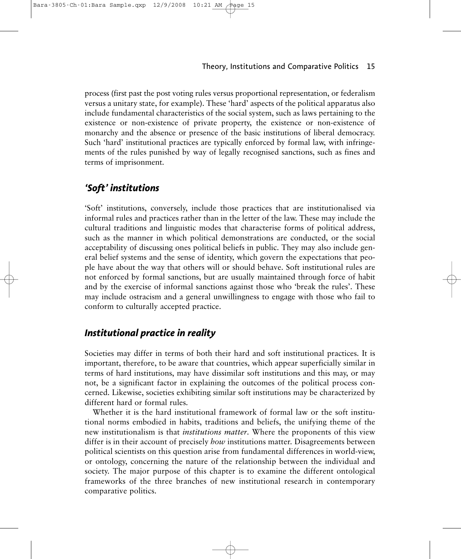process (first past the post voting rules versus proportional representation, or federalism versus a unitary state, for example). These 'hard' aspects of the political apparatus also include fundamental characteristics of the social system, such as laws pertaining to the existence or non-existence of private property, the existence or non-existence of monarchy and the absence or presence of the basic institutions of liberal democracy. Such 'hard' institutional practices are typically enforced by formal law, with infringements of the rules punished by way of legally recognised sanctions, such as fines and terms of imprisonment.

#### *'Soft' institutions*

'Soft' institutions, conversely, include those practices that are institutionalised via informal rules and practices rather than in the letter of the law. These may include the cultural traditions and linguistic modes that characterise forms of political address, such as the manner in which political demonstrations are conducted, or the social acceptability of discussing ones political beliefs in public. They may also include general belief systems and the sense of identity, which govern the expectations that people have about the way that others will or should behave. Soft institutional rules are not enforced by formal sanctions, but are usually maintained through force of habit and by the exercise of informal sanctions against those who 'break the rules'. These may include ostracism and a general unwillingness to engage with those who fail to conform to culturally accepted practice.

#### *Institutional practice in reality*

Societies may differ in terms of both their hard and soft institutional practices. It is important, therefore, to be aware that countries, which appear superficially similar in terms of hard institutions, may have dissimilar soft institutions and this may, or may not, be a significant factor in explaining the outcomes of the political process concerned. Likewise, societies exhibiting similar soft institutions may be characterized by different hard or formal rules.

Whether it is the hard institutional framework of formal law or the soft institutional norms embodied in habits, traditions and beliefs, the unifying theme of the new institutionalism is that *institutions matter*. Where the proponents of this view differ is in their account of precisely *how* institutions matter. Disagreements between political scientists on this question arise from fundamental differences in world-view, or ontology, concerning the nature of the relationship between the individual and society. The major purpose of this chapter is to examine the different ontological frameworks of the three branches of new institutional research in contemporary comparative politics.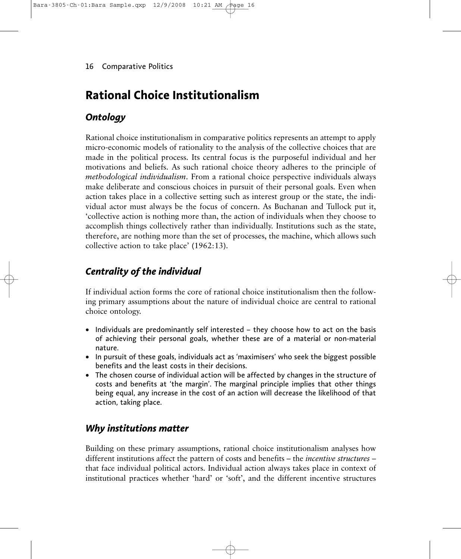## **Rational Choice Institutionalism**

#### *Ontology*

Rational choice institutionalism in comparative politics represents an attempt to apply micro-economic models of rationality to the analysis of the collective choices that are made in the political process. Its central focus is the purposeful individual and her motivations and beliefs. As such rational choice theory adheres to the principle of *methodological individualism*. From a rational choice perspective individuals always make deliberate and conscious choices in pursuit of their personal goals. Even when action takes place in a collective setting such as interest group or the state, the individual actor must always be the focus of concern. As Buchanan and Tullock put it, 'collective action is nothing more than, the action of individuals when they choose to accomplish things collectively rather than individually. Institutions such as the state, therefore, are nothing more than the set of processes, the machine, which allows such collective action to take place' (1962:13).

#### *Centrality of the individual*

If individual action forms the core of rational choice institutionalism then the following primary assumptions about the nature of individual choice are central to rational choice ontology.

- Individuals are predominantly self interested they choose how to act on the basis of achieving their personal goals, whether these are of a material or non-material nature.
- In pursuit of these goals, individuals act as 'maximisers' who seek the biggest possible benefits and the least costs in their decisions.
- The chosen course of individual action will be affected by changes in the structure of costs and benefits at 'the margin'. The marginal principle implies that other things being equal, any increase in the cost of an action will decrease the likelihood of that action, taking place.

#### *Why institutions matter*

Building on these primary assumptions, rational choice institutionalism analyses how different institutions affect the pattern of costs and benefits – the *incentive structures* – that face individual political actors. Individual action always takes place in context of institutional practices whether 'hard' or 'soft', and the different incentive structures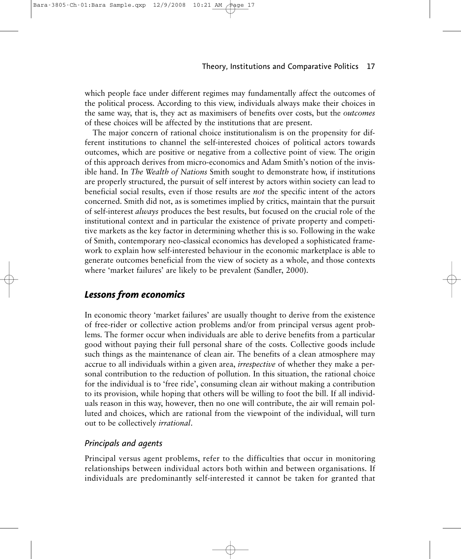which people face under different regimes may fundamentally affect the outcomes of the political process. According to this view, individuals always make their choices in the same way, that is, they act as maximisers of benefits over costs, but the *outcomes* of these choices will be affected by the institutions that are present.

The major concern of rational choice institutionalism is on the propensity for different institutions to channel the self-interested choices of political actors towards outcomes, which are positive or negative from a collective point of view. The origin of this approach derives from micro-economics and Adam Smith's notion of the invisible hand. In *The Wealth of Nations* Smith sought to demonstrate how, if institutions are properly structured, the pursuit of self interest by actors within society can lead to beneficial social results, even if those results are *not* the specific intent of the actors concerned. Smith did not, as is sometimes implied by critics, maintain that the pursuit of self-interest *always* produces the best results, but focused on the crucial role of the institutional context and in particular the existence of private property and competitive markets as the key factor in determining whether this is so. Following in the wake of Smith, contemporary neo-classical economics has developed a sophisticated framework to explain how self-interested behaviour in the economic marketplace is able to generate outcomes beneficial from the view of society as a whole, and those contexts where 'market failures' are likely to be prevalent (Sandler, 2000).

## *Lessons from economics*

In economic theory 'market failures' are usually thought to derive from the existence of free-rider or collective action problems and/or from principal versus agent problems. The former occur when individuals are able to derive benefits from a particular good without paying their full personal share of the costs. Collective goods include such things as the maintenance of clean air. The benefits of a clean atmosphere may accrue to all individuals within a given area, *irrespective* of whether they make a personal contribution to the reduction of pollution. In this situation, the rational choice for the individual is to 'free ride', consuming clean air without making a contribution to its provision, while hoping that others will be willing to foot the bill. If all individuals reason in this way, however, then no one will contribute, the air will remain polluted and choices, which are rational from the viewpoint of the individual, will turn out to be collectively *irrational*.

#### *Principals and agents*

Principal versus agent problems, refer to the difficulties that occur in monitoring relationships between individual actors both within and between organisations. If individuals are predominantly self-interested it cannot be taken for granted that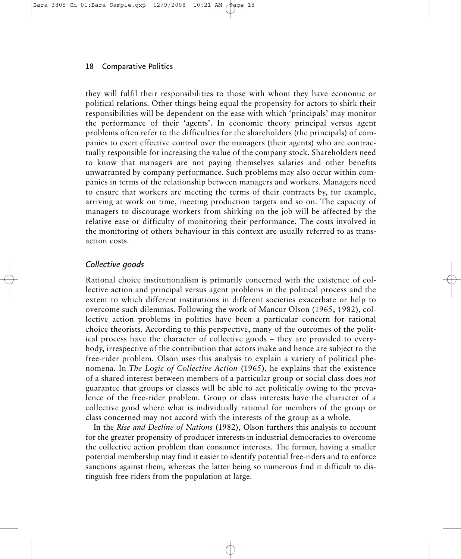they will fulfil their responsibilities to those with whom they have economic or political relations. Other things being equal the propensity for actors to shirk their responsibilities will be dependent on the ease with which 'principals' may monitor the performance of their 'agents'. In economic theory principal versus agent problems often refer to the difficulties for the shareholders (the principals) of companies to exert effective control over the managers (their agents) who are contractually responsible for increasing the value of the company stock. Shareholders need to know that managers are not paying themselves salaries and other benefits unwarranted by company performance. Such problems may also occur within companies in terms of the relationship between managers and workers. Managers need to ensure that workers are meeting the terms of their contracts by, for example, arriving at work on time, meeting production targets and so on. The capacity of managers to discourage workers from shirking on the job will be affected by the relative ease or difficulty of monitoring their performance. The costs involved in the monitoring of others behaviour in this context are usually referred to as transaction costs.

#### *Collective goods*

Rational choice institutionalism is primarily concerned with the existence of collective action and principal versus agent problems in the political process and the extent to which different institutions in different societies exacerbate or help to overcome such dilemmas. Following the work of Mancur Olson (1965, 1982), collective action problems in politics have been a particular concern for rational choice theorists. According to this perspective, many of the outcomes of the political process have the character of collective goods – they are provided to everybody, irrespective of the contribution that actors make and hence are subject to the free-rider problem. Olson uses this analysis to explain a variety of political phenomena. In *The Logic of Collective Action* (1965), he explains that the existence of a shared interest between members of a particular group or social class does *not* guarantee that groups or classes will be able to act politically owing to the prevalence of the free-rider problem. Group or class interests have the character of a collective good where what is individually rational for members of the group or class concerned may not accord with the interests of the group as a whole.

In the *Rise and Decline of Nations* (1982), Olson furthers this analysis to account for the greater propensity of producer interests in industrial democracies to overcome the collective action problem than consumer interests. The former, having a smaller potential membership may find it easier to identify potential free-riders and to enforce sanctions against them, whereas the latter being so numerous find it difficult to distinguish free-riders from the population at large.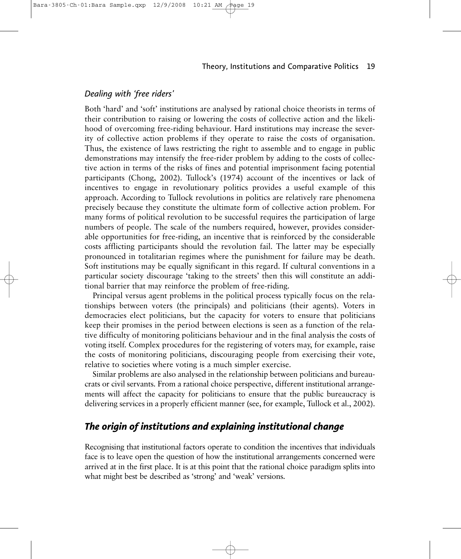#### *Dealing with 'free riders'*

Both 'hard' and 'soft' institutions are analysed by rational choice theorists in terms of their contribution to raising or lowering the costs of collective action and the likelihood of overcoming free-riding behaviour. Hard institutions may increase the severity of collective action problems if they operate to raise the costs of organisation. Thus, the existence of laws restricting the right to assemble and to engage in public demonstrations may intensify the free-rider problem by adding to the costs of collective action in terms of the risks of fines and potential imprisonment facing potential participants (Chong, 2002). Tullock's (1974) account of the incentives or lack of incentives to engage in revolutionary politics provides a useful example of this approach. According to Tullock revolutions in politics are relatively rare phenomena precisely because they constitute the ultimate form of collective action problem. For many forms of political revolution to be successful requires the participation of large numbers of people. The scale of the numbers required, however, provides considerable opportunities for free-riding, an incentive that is reinforced by the considerable costs afflicting participants should the revolution fail. The latter may be especially pronounced in totalitarian regimes where the punishment for failure may be death. Soft institutions may be equally significant in this regard. If cultural conventions in a particular society discourage 'taking to the streets' then this will constitute an additional barrier that may reinforce the problem of free-riding.

Principal versus agent problems in the political process typically focus on the relationships between voters (the principals) and politicians (their agents). Voters in democracies elect politicians, but the capacity for voters to ensure that politicians keep their promises in the period between elections is seen as a function of the relative difficulty of monitoring politicians behaviour and in the final analysis the costs of voting itself. Complex procedures for the registering of voters may, for example, raise the costs of monitoring politicians, discouraging people from exercising their vote, relative to societies where voting is a much simpler exercise.

Similar problems are also analysed in the relationship between politicians and bureaucrats or civil servants. From a rational choice perspective, different institutional arrangements will affect the capacity for politicians to ensure that the public bureaucracy is delivering services in a properly efficient manner (see, for example, Tullock et al., 2002).

## *The origin of institutions and explaining institutional change*

Recognising that institutional factors operate to condition the incentives that individuals face is to leave open the question of how the institutional arrangements concerned were arrived at in the first place. It is at this point that the rational choice paradigm splits into what might best be described as 'strong' and 'weak' versions.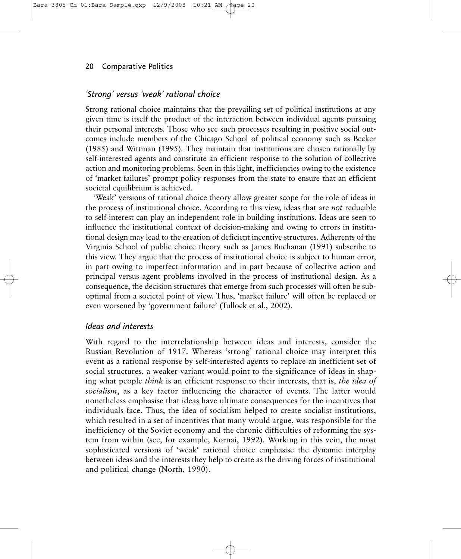#### *'Strong' versus 'weak' rational choice*

Strong rational choice maintains that the prevailing set of political institutions at any given time is itself the product of the interaction between individual agents pursuing their personal interests. Those who see such processes resulting in positive social outcomes include members of the Chicago School of political economy such as Becker (1985) and Wittman (1995). They maintain that institutions are chosen rationally by self-interested agents and constitute an efficient response to the solution of collective action and monitoring problems. Seen in this light, inefficiencies owing to the existence of 'market failures' prompt policy responses from the state to ensure that an efficient societal equilibrium is achieved.

'Weak' versions of rational choice theory allow greater scope for the role of ideas in the process of institutional choice. According to this view, ideas that are *not* reducible to self-interest can play an independent role in building institutions. Ideas are seen to influence the institutional context of decision-making and owing to errors in institutional design may lead to the creation of deficient incentive structures. Adherents of the Virginia School of public choice theory such as James Buchanan (1991) subscribe to this view. They argue that the process of institutional choice is subject to human error, in part owing to imperfect information and in part because of collective action and principal versus agent problems involved in the process of institutional design. As a consequence, the decision structures that emerge from such processes will often be suboptimal from a societal point of view. Thus, 'market failure' will often be replaced or even worsened by 'government failure' (Tullock et al., 2002).

#### *Ideas and interests*

With regard to the interrelationship between ideas and interests, consider the Russian Revolution of 1917. Whereas 'strong' rational choice may interpret this event as a rational response by self-interested agents to replace an inefficient set of social structures, a weaker variant would point to the significance of ideas in shaping what people *think* is an efficient response to their interests, that is, *the idea of socialism*, as a key factor influencing the character of events. The latter would nonetheless emphasise that ideas have ultimate consequences for the incentives that individuals face. Thus, the idea of socialism helped to create socialist institutions, which resulted in a set of incentives that many would argue, was responsible for the inefficiency of the Soviet economy and the chronic difficulties of reforming the system from within (see, for example, Kornai, 1992). Working in this vein, the most sophisticated versions of 'weak' rational choice emphasise the dynamic interplay between ideas and the interests they help to create as the driving forces of institutional and political change (North, 1990).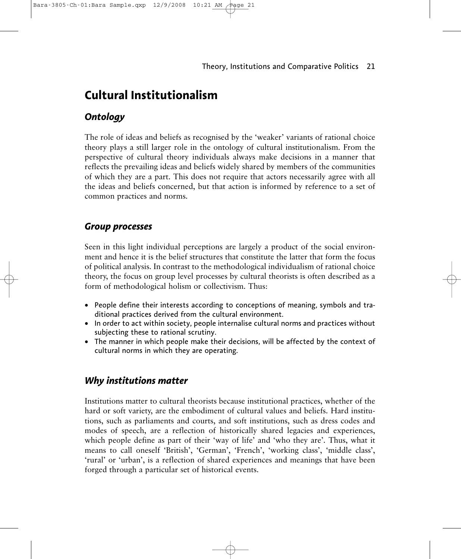## **Cultural Institutionalism**

### *Ontology*

Bara-3805-Ch-01: Bara Sample.qxp 12/9/2008

The role of ideas and beliefs as recognised by the 'weaker' variants of rational choice theory plays a still larger role in the ontology of cultural institutionalism. From the perspective of cultural theory individuals always make decisions in a manner that reflects the prevailing ideas and beliefs widely shared by members of the communities of which they are a part. This does not require that actors necessarily agree with all the ideas and beliefs concerned, but that action is informed by reference to a set of common practices and norms.

#### *Group processes*

Seen in this light individual perceptions are largely a product of the social environment and hence it is the belief structures that constitute the latter that form the focus of political analysis. In contrast to the methodological individualism of rational choice theory, the focus on group level processes by cultural theorists is often described as a form of methodological holism or collectivism. Thus:

- People define their interests according to conceptions of meaning, symbols and traditional practices derived from the cultural environment.
- In order to act within society, people internalise cultural norms and practices without subjecting these to rational scrutiny.
- The manner in which people make their decisions, will be affected by the context of cultural norms in which they are operating.

#### *Why institutions matter*

Institutions matter to cultural theorists because institutional practices, whether of the hard or soft variety, are the embodiment of cultural values and beliefs. Hard institutions, such as parliaments and courts, and soft institutions, such as dress codes and modes of speech, are a reflection of historically shared legacies and experiences, which people define as part of their 'way of life' and 'who they are'. Thus, what it means to call oneself 'British', 'German', 'French', 'working class', 'middle class', 'rural' or 'urban', is a reflection of shared experiences and meanings that have been forged through a particular set of historical events.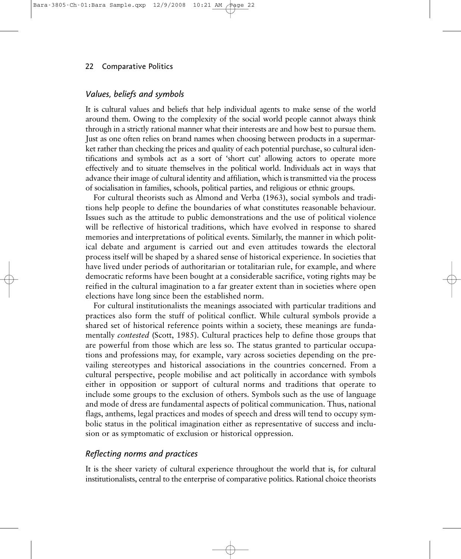#### *Values, beliefs and symbols*

It is cultural values and beliefs that help individual agents to make sense of the world around them. Owing to the complexity of the social world people cannot always think through in a strictly rational manner what their interests are and how best to pursue them. Just as one often relies on brand names when choosing between products in a supermarket rather than checking the prices and quality of each potential purchase, so cultural identifications and symbols act as a sort of 'short cut' allowing actors to operate more effectively and to situate themselves in the political world. Individuals act in ways that advance their image of cultural identity and affiliation, which is transmitted via the process of socialisation in families, schools, political parties, and religious or ethnic groups.

For cultural theorists such as Almond and Verba (1963), social symbols and traditions help people to define the boundaries of what constitutes reasonable behaviour. Issues such as the attitude to public demonstrations and the use of political violence will be reflective of historical traditions, which have evolved in response to shared memories and interpretations of political events. Similarly, the manner in which political debate and argument is carried out and even attitudes towards the electoral process itself will be shaped by a shared sense of historical experience. In societies that have lived under periods of authoritarian or totalitarian rule, for example, and where democratic reforms have been bought at a considerable sacrifice, voting rights may be reified in the cultural imagination to a far greater extent than in societies where open elections have long since been the established norm.

For cultural institutionalists the meanings associated with particular traditions and practices also form the stuff of political conflict. While cultural symbols provide a shared set of historical reference points within a society, these meanings are fundamentally *contested* (Scott, 1985). Cultural practices help to define those groups that are powerful from those which are less so. The status granted to particular occupations and professions may, for example, vary across societies depending on the prevailing stereotypes and historical associations in the countries concerned. From a cultural perspective, people mobilise and act politically in accordance with symbols either in opposition or support of cultural norms and traditions that operate to include some groups to the exclusion of others. Symbols such as the use of language and mode of dress are fundamental aspects of political communication. Thus, national flags, anthems, legal practices and modes of speech and dress will tend to occupy symbolic status in the political imagination either as representative of success and inclusion or as symptomatic of exclusion or historical oppression.

#### *Reflecting norms and practices*

It is the sheer variety of cultural experience throughout the world that is, for cultural institutionalists, central to the enterprise of comparative politics. Rational choice theorists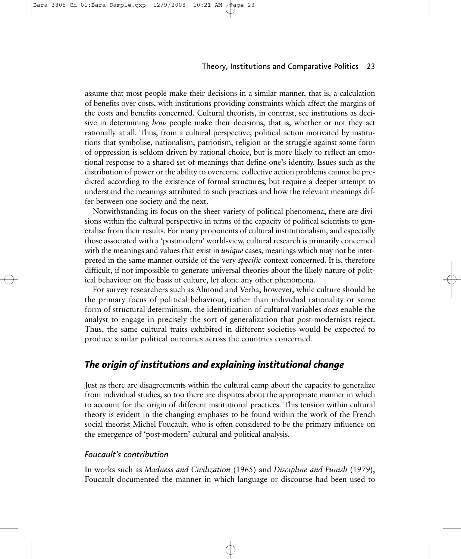assume that most people make their decisions in a similar manner, that is, a calculation of benefits over costs, with institutions providing constraints which affect the margins of the costs and benefits concerned. Cultural theorists, in contrast, see institutions as decisive in determining *how* people make their decisions, that is, whether or not they act rationally at all. Thus, from a cultural perspective, political action motivated by institutions that symbolise, nationalism, patriotism, religion or the struggle against some form of oppression is seldom driven by rational choice, but is more likely to reflect an emotional response to a shared set of meanings that define one's identity. Issues such as the distribution of power or the ability to overcome collective action problems cannot be predicted according to the existence of formal structures, but require a deeper attempt to understand the meanings attributed to such practices and how the relevant meanings differ between one society and the next.

Notwithstanding its focus on the sheer variety of political phenomena, there are divisions within the cultural perspective in terms of the capacity of political scientists to generalise from their results. For many proponents of cultural institutionalism, and especially those associated with a 'postmodern' world-view, cultural research is primarily concerned with the meanings and values that exist in *unique* cases, meanings which may not be interpreted in the same manner outside of the very *specific* context concerned. It is, therefore difficult, if not impossible to generate universal theories about the likely nature of political behaviour on the basis of culture, let alone any other phenomena.

For survey researchers such as Almond and Verba, however, while culture should be the primary focus of political behaviour, rather than individual rationality or some form of structural determinism, the identification of cultural variables *does* enable the analyst to engage in precisely the sort of generalization that post-modernists reject. Thus, the same cultural traits exhibited in different societies would be expected to produce similar political outcomes across the countries concerned.

## *The origin of institutions and explaining institutional change*

Just as there are disagreements within the cultural camp about the capacity to generalize from individual studies, so too there are disputes about the appropriate manner in which to account for the origin of different institutional practices. This tension within cultural theory is evident in the changing emphases to be found within the work of the French social theorist Michel Foucault, who is often considered to be the primary influence on the emergence of 'post-modern' cultural and political analysis.

#### *Foucault's contribution*

In works such as *Madness and Civilization* (1965) and *Discipline and Punish* (1979), Foucault documented the manner in which language or discourse had been used to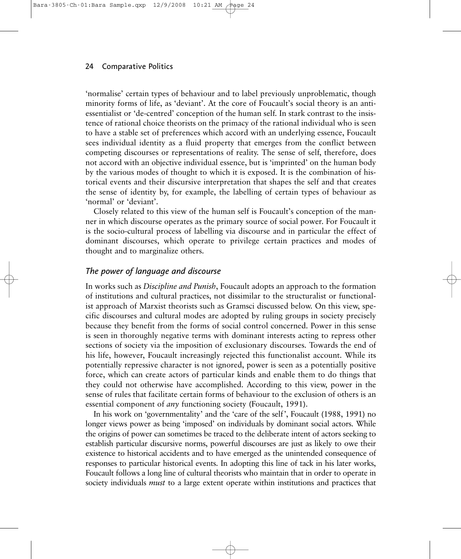'normalise' certain types of behaviour and to label previously unproblematic, though minority forms of life, as 'deviant'. At the core of Foucault's social theory is an antiessentialist or 'de-centred' conception of the human self. In stark contrast to the insistence of rational choice theorists on the primacy of the rational individual who is seen to have a stable set of preferences which accord with an underlying essence, Foucault sees individual identity as a fluid property that emerges from the conflict between competing discourses or representations of reality. The sense of self, therefore, does not accord with an objective individual essence, but is 'imprinted' on the human body by the various modes of thought to which it is exposed. It is the combination of historical events and their discursive interpretation that shapes the self and that creates the sense of identity by, for example, the labelling of certain types of behaviour as 'normal' or 'deviant'.

Closely related to this view of the human self is Foucault's conception of the manner in which discourse operates as the primary source of social power. For Foucault it is the socio-cultural process of labelling via discourse and in particular the effect of dominant discourses, which operate to privilege certain practices and modes of thought and to marginalize others.

#### *The power of language and discourse*

In works such as *Discipline and Punish*, Foucault adopts an approach to the formation of institutions and cultural practices, not dissimilar to the structuralist or functionalist approach of Marxist theorists such as Gramsci discussed below. On this view, specific discourses and cultural modes are adopted by ruling groups in society precisely because they benefit from the forms of social control concerned. Power in this sense is seen in thoroughly negative terms with dominant interests acting to repress other sections of society via the imposition of exclusionary discourses. Towards the end of his life, however, Foucault increasingly rejected this functionalist account. While its potentially repressive character is not ignored, power is seen as a potentially positive force, which can create actors of particular kinds and enable them to do things that they could not otherwise have accomplished. According to this view, power in the sense of rules that facilitate certain forms of behaviour to the exclusion of others is an essential component of *any* functioning society (Foucault, 1991).

In his work on 'governmentality' and the 'care of the self', Foucault (1988, 1991) no longer views power as being 'imposed' on individuals by dominant social actors. While the origins of power can sometimes be traced to the deliberate intent of actors seeking to establish particular discursive norms, powerful discourses are just as likely to owe their existence to historical accidents and to have emerged as the unintended consequence of responses to particular historical events. In adopting this line of tack in his later works, Foucault follows a long line of cultural theorists who maintain that in order to operate in society individuals *must* to a large extent operate within institutions and practices that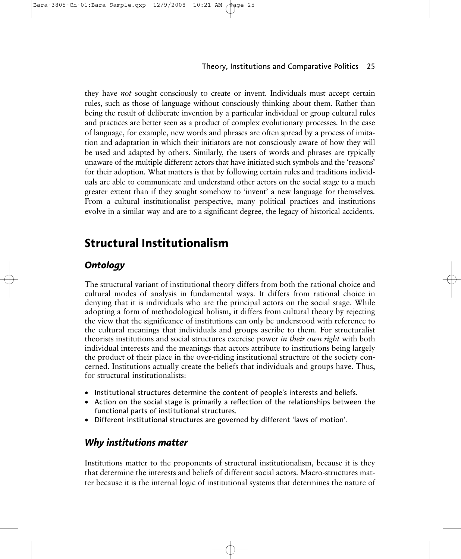they have *not* sought consciously to create or invent. Individuals must accept certain rules, such as those of language without consciously thinking about them. Rather than being the result of deliberate invention by a particular individual or group cultural rules and practices are better seen as a product of complex evolutionary processes. In the case of language, for example, new words and phrases are often spread by a process of imitation and adaptation in which their initiators are not consciously aware of how they will be used and adapted by others. Similarly, the users of words and phrases are typically unaware of the multiple different actors that have initiated such symbols and the 'reasons' for their adoption. What matters is that by following certain rules and traditions individuals are able to communicate and understand other actors on the social stage to a much greater extent than if they sought somehow to 'invent' a new language for themselves. From a cultural institutionalist perspective, many political practices and institutions evolve in a similar way and are to a significant degree, the legacy of historical accidents.

## **Structural Institutionalism**

#### *Ontology*

Bara-3805-Ch-01: Bara Sample.qxp 12/9/2008

The structural variant of institutional theory differs from both the rational choice and cultural modes of analysis in fundamental ways. It differs from rational choice in denying that it is individuals who are the principal actors on the social stage. While adopting a form of methodological holism, it differs from cultural theory by rejecting the view that the significance of institutions can only be understood with reference to the cultural meanings that individuals and groups ascribe to them. For structuralist theorists institutions and social structures exercise power *in their own right* with both individual interests and the meanings that actors attribute to institutions being largely the product of their place in the over-riding institutional structure of the society concerned. Institutions actually create the beliefs that individuals and groups have. Thus, for structural institutionalists:

- Institutional structures determine the content of people's interests and beliefs.
- Action on the social stage is primarily a reflection of the relationships between the functional parts of institutional structures.
- Different institutional structures are governed by different 'laws of motion'.

#### *Why institutions matter*

Institutions matter to the proponents of structural institutionalism, because it is they that determine the interests and beliefs of different social actors. Macro-structures matter because it is the internal logic of institutional systems that determines the nature of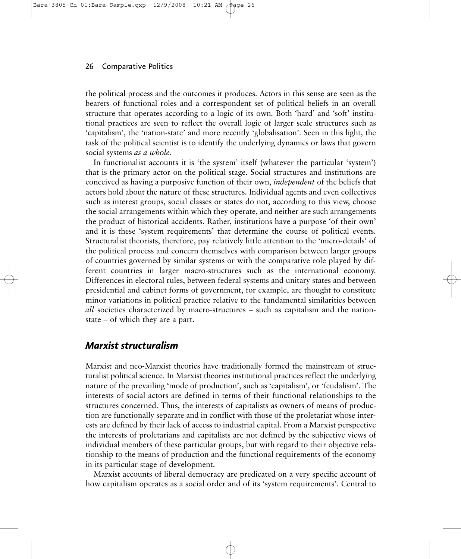the political process and the outcomes it produces. Actors in this sense are seen as the bearers of functional roles and a correspondent set of political beliefs in an overall structure that operates according to a logic of its own. Both 'hard' and 'soft' institutional practices are seen to reflect the overall logic of larger scale structures such as 'capitalism', the 'nation-state' and more recently 'globalisation'. Seen in this light, the task of the political scientist is to identify the underlying dynamics or laws that govern social systems *as a whole*.

In functionalist accounts it is 'the system' itself (whatever the particular 'system') that is the primary actor on the political stage. Social structures and institutions are conceived as having a purposive function of their own, *independent* of the beliefs that actors hold about the nature of these structures. Individual agents and even collectives such as interest groups, social classes or states do not, according to this view, choose the social arrangements within which they operate, and neither are such arrangements the product of historical accidents. Rather, institutions have a purpose 'of their own' and it is these 'system requirements' that determine the course of political events. Structuralist theorists, therefore, pay relatively little attention to the 'micro-details' of the political process and concern themselves with comparison between larger groups of countries governed by similar systems or with the comparative role played by different countries in larger macro-structures such as the international economy. Differences in electoral rules, between federal systems and unitary states and between presidential and cabinet forms of government, for example, are thought to constitute minor variations in political practice relative to the fundamental similarities between *all* societies characterized by macro-structures – such as capitalism and the nationstate – of which they are a part.

#### *Marxist structuralism*

Marxist and neo-Marxist theories have traditionally formed the mainstream of structuralist political science. In Marxist theories institutional practices reflect the underlying nature of the prevailing 'mode of production', such as 'capitalism', or 'feudalism'. The interests of social actors are defined in terms of their functional relationships to the structures concerned. Thus, the interests of capitalists as owners of means of production are functionally separate and in conflict with those of the proletariat whose interests are defined by their lack of access to industrial capital. From a Marxist perspective the interests of proletarians and capitalists are not defined by the subjective views of individual members of these particular groups, but with regard to their objective relationship to the means of production and the functional requirements of the economy in its particular stage of development.

Marxist accounts of liberal democracy are predicated on a very specific account of how capitalism operates as a social order and of its 'system requirements'. Central to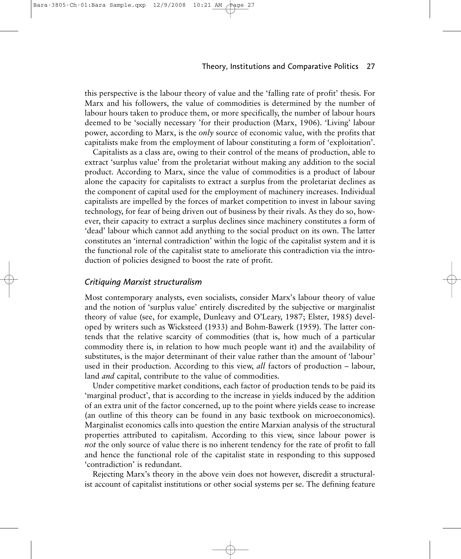this perspective is the labour theory of value and the 'falling rate of profit' thesis. For Marx and his followers, the value of commodities is determined by the number of labour hours taken to produce them, or more specifically, the number of labour hours deemed to be 'socially necessary 'for their production (Marx, 1906). 'Living' labour power, according to Marx, is the *only* source of economic value, with the profits that capitalists make from the employment of labour constituting a form of 'exploitation'.

Capitalists as a class are, owing to their control of the means of production, able to extract 'surplus value' from the proletariat without making any addition to the social product. According to Marx, since the value of commodities is a product of labour alone the capacity for capitalists to extract a surplus from the proletariat declines as the component of capital used for the employment of machinery increases. Individual capitalists are impelled by the forces of market competition to invest in labour saving technology, for fear of being driven out of business by their rivals. As they do so, however, their capacity to extract a surplus declines since machinery constitutes a form of 'dead' labour which cannot add anything to the social product on its own. The latter constitutes an 'internal contradiction' within the logic of the capitalist system and it is the functional role of the capitalist state to ameliorate this contradiction via the introduction of policies designed to boost the rate of profit.

#### *Critiquing Marxist structuralism*

Most contemporary analysts, even socialists, consider Marx's labour theory of value and the notion of 'surplus value' entirely discredited by the subjective or marginalist theory of value (see, for example, Dunleavy and O'Leary, 1987; Elster, 1985) developed by writers such as Wicksteed (1933) and Bohm-Bawerk (1959). The latter contends that the relative scarcity of commodities (that is, how much of a particular commodity there is, in relation to how much people want it) and the availability of substitutes, is the major determinant of their value rather than the amount of 'labour' used in their production. According to this view, *all* factors of production – labour, land *and* capital, contribute to the value of commodities.

Under competitive market conditions, each factor of production tends to be paid its 'marginal product', that is according to the increase in yields induced by the addition of an extra unit of the factor concerned, up to the point where yields cease to increase (an outline of this theory can be found in any basic textbook on microeconomics). Marginalist economics calls into question the entire Marxian analysis of the structural properties attributed to capitalism. According to this view, since labour power is *not* the only source of value there is no inherent tendency for the rate of profit to fall and hence the functional role of the capitalist state in responding to this supposed 'contradiction' is redundant.

Rejecting Marx's theory in the above vein does not however, discredit a structuralist account of capitalist institutions or other social systems per se. The defining feature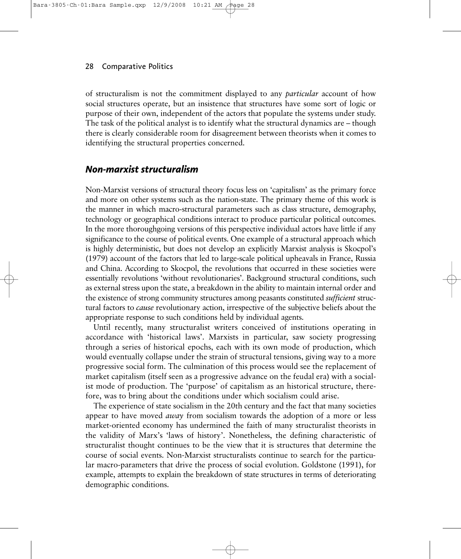of structuralism is not the commitment displayed to any *particular* account of how social structures operate, but an insistence that structures have some sort of logic or purpose of their own, independent of the actors that populate the systems under study. The task of the political analyst is to identify what the structural dynamics are – though there is clearly considerable room for disagreement between theorists when it comes to identifying the structural properties concerned.

#### *Non-marxist structuralism*

Non-Marxist versions of structural theory focus less on 'capitalism' as the primary force and more on other systems such as the nation-state. The primary theme of this work is the manner in which macro-structural parameters such as class structure, demography, technology or geographical conditions interact to produce particular political outcomes. In the more thoroughgoing versions of this perspective individual actors have little if any significance to the course of political events. One example of a structural approach which is highly deterministic, but does not develop an explicitly Marxist analysis is Skocpol's (1979) account of the factors that led to large-scale political upheavals in France, Russia and China. According to Skocpol, the revolutions that occurred in these societies were essentially revolutions 'without revolutionaries'. Background structural conditions, such as external stress upon the state, a breakdown in the ability to maintain internal order and the existence of strong community structures among peasants constituted *sufficient* structural factors to *cause* revolutionary action, irrespective of the subjective beliefs about the appropriate response to such conditions held by individual agents.

Until recently, many structuralist writers conceived of institutions operating in accordance with 'historical laws'. Marxists in particular, saw society progressing through a series of historical epochs, each with its own mode of production, which would eventually collapse under the strain of structural tensions, giving way to a more progressive social form. The culmination of this process would see the replacement of market capitalism (itself seen as a progressive advance on the feudal era) with a socialist mode of production. The 'purpose' of capitalism as an historical structure, therefore, was to bring about the conditions under which socialism could arise.

The experience of state socialism in the 20th century and the fact that many societies appear to have moved *away* from socialism towards the adoption of a more or less market-oriented economy has undermined the faith of many structuralist theorists in the validity of Marx's 'laws of history'. Nonetheless, the defining characteristic of structuralist thought continues to be the view that it is structures that determine the course of social events. Non-Marxist structuralists continue to search for the particular macro-parameters that drive the process of social evolution. Goldstone (1991), for example, attempts to explain the breakdown of state structures in terms of deteriorating demographic conditions.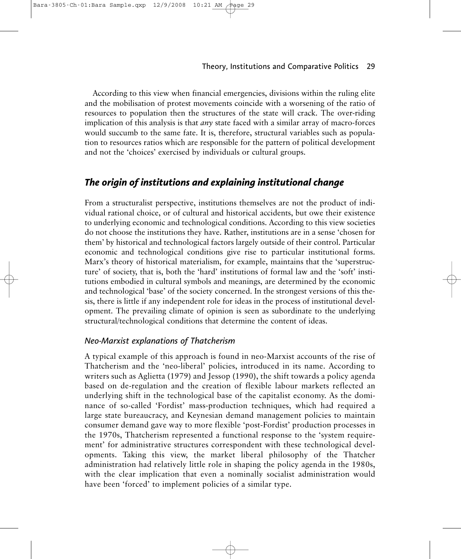According to this view when financial emergencies, divisions within the ruling elite and the mobilisation of protest movements coincide with a worsening of the ratio of resources to population then the structures of the state will crack. The over-riding implication of this analysis is that *any* state faced with a similar array of macro-forces would succumb to the same fate. It is, therefore, structural variables such as population to resources ratios which are responsible for the pattern of political development and not the 'choices' exercised by individuals or cultural groups.

## *The origin of institutions and explaining institutional change*

From a structuralist perspective, institutions themselves are not the product of individual rational choice, or of cultural and historical accidents, but owe their existence to underlying economic and technological conditions. According to this view societies do not choose the institutions they have. Rather, institutions are in a sense 'chosen for them' by historical and technological factors largely outside of their control. Particular economic and technological conditions give rise to particular institutional forms. Marx's theory of historical materialism, for example, maintains that the 'superstructure' of society, that is, both the 'hard' institutions of formal law and the 'soft' institutions embodied in cultural symbols and meanings, are determined by the economic and technological 'base' of the society concerned. In the strongest versions of this thesis, there is little if any independent role for ideas in the process of institutional development. The prevailing climate of opinion is seen as subordinate to the underlying structural/technological conditions that determine the content of ideas.

#### *Neo-Marxist explanations of Thatcherism*

A typical example of this approach is found in neo-Marxist accounts of the rise of Thatcherism and the 'neo-liberal' policies, introduced in its name. According to writers such as Aglietta (1979) and Jessop (1990), the shift towards a policy agenda based on de-regulation and the creation of flexible labour markets reflected an underlying shift in the technological base of the capitalist economy. As the dominance of so-called 'Fordist' mass-production techniques, which had required a large state bureaucracy, and Keynesian demand management policies to maintain consumer demand gave way to more flexible 'post-Fordist' production processes in the 1970s, Thatcherism represented a functional response to the 'system requirement' for administrative structures correspondent with these technological developments. Taking this view, the market liberal philosophy of the Thatcher administration had relatively little role in shaping the policy agenda in the 1980s, with the clear implication that even a nominally socialist administration would have been 'forced' to implement policies of a similar type.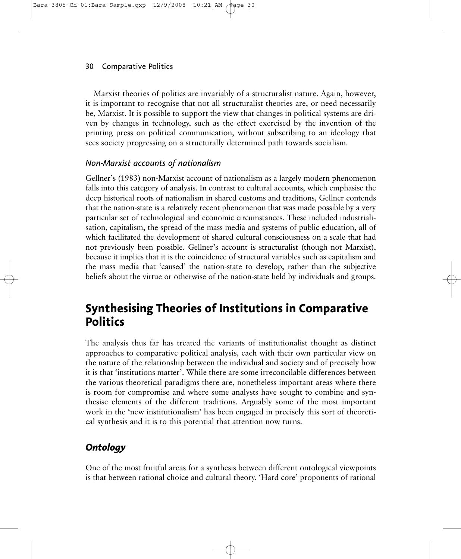Marxist theories of politics are invariably of a structuralist nature. Again, however, it is important to recognise that not all structuralist theories are, or need necessarily be, Marxist. It is possible to support the view that changes in political systems are driven by changes in technology, such as the effect exercised by the invention of the printing press on political communication, without subscribing to an ideology that sees society progressing on a structurally determined path towards socialism.

#### *Non-Marxist accounts of nationalism*

Gellner's (1983) non-Marxist account of nationalism as a largely modern phenomenon falls into this category of analysis. In contrast to cultural accounts, which emphasise the deep historical roots of nationalism in shared customs and traditions, Gellner contends that the nation-state is a relatively recent phenomenon that was made possible by a very particular set of technological and economic circumstances. These included industrialisation, capitalism, the spread of the mass media and systems of public education, all of which facilitated the development of shared cultural consciousness on a scale that had not previously been possible. Gellner's account is structuralist (though not Marxist), because it implies that it is the coincidence of structural variables such as capitalism and the mass media that 'caused' the nation-state to develop, rather than the subjective beliefs about the virtue or otherwise of the nation-state held by individuals and groups.

## **Synthesising Theories of Institutions in Comparative Politics**

The analysis thus far has treated the variants of institutionalist thought as distinct approaches to comparative political analysis, each with their own particular view on the nature of the relationship between the individual and society and of precisely how it is that 'institutions matter'. While there are some irreconcilable differences between the various theoretical paradigms there are, nonetheless important areas where there is room for compromise and where some analysts have sought to combine and synthesise elements of the different traditions. Arguably some of the most important work in the 'new institutionalism' has been engaged in precisely this sort of theoretical synthesis and it is to this potential that attention now turns.

#### *Ontology*

One of the most fruitful areas for a synthesis between different ontological viewpoints is that between rational choice and cultural theory. 'Hard core' proponents of rational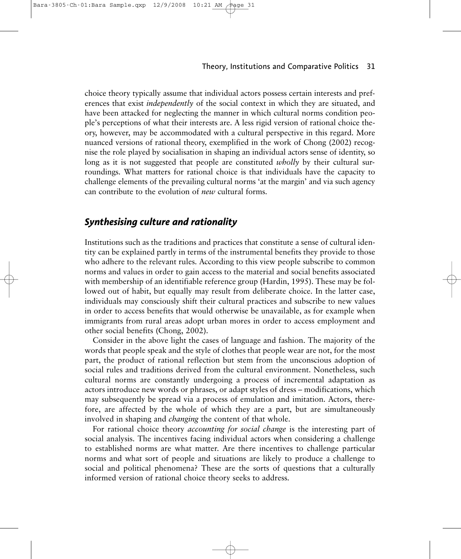choice theory typically assume that individual actors possess certain interests and preferences that exist *independently* of the social context in which they are situated, and have been attacked for neglecting the manner in which cultural norms condition people's perceptions of what their interests are. A less rigid version of rational choice theory, however, may be accommodated with a cultural perspective in this regard. More nuanced versions of rational theory, exemplified in the work of Chong (2002) recognise the role played by socialisation in shaping an individual actors sense of identity, so long as it is not suggested that people are constituted *wholly* by their cultural surroundings. What matters for rational choice is that individuals have the capacity to challenge elements of the prevailing cultural norms 'at the margin' and via such agency can contribute to the evolution of *new* cultural forms.

#### *Synthesising culture and rationality*

Institutions such as the traditions and practices that constitute a sense of cultural identity can be explained partly in terms of the instrumental benefits they provide to those who adhere to the relevant rules. According to this view people subscribe to common norms and values in order to gain access to the material and social benefits associated with membership of an identifiable reference group (Hardin, 1995). These may be followed out of habit, but equally may result from deliberate choice. In the latter case, individuals may consciously shift their cultural practices and subscribe to new values in order to access benefits that would otherwise be unavailable, as for example when immigrants from rural areas adopt urban mores in order to access employment and other social benefits (Chong, 2002).

Consider in the above light the cases of language and fashion. The majority of the words that people speak and the style of clothes that people wear are not, for the most part, the product of rational reflection but stem from the unconscious adoption of social rules and traditions derived from the cultural environment. Nonetheless, such cultural norms are constantly undergoing a process of incremental adaptation as actors introduce new words or phrases, or adapt styles of dress – modifications, which may subsequently be spread via a process of emulation and imitation. Actors, therefore, are affected by the whole of which they are a part, but are simultaneously involved in shaping and *changing* the content of that whole.

For rational choice theory *accounting for social change* is the interesting part of social analysis. The incentives facing individual actors when considering a challenge to established norms are what matter. Are there incentives to challenge particular norms and what sort of people and situations are likely to produce a challenge to social and political phenomena? These are the sorts of questions that a culturally informed version of rational choice theory seeks to address.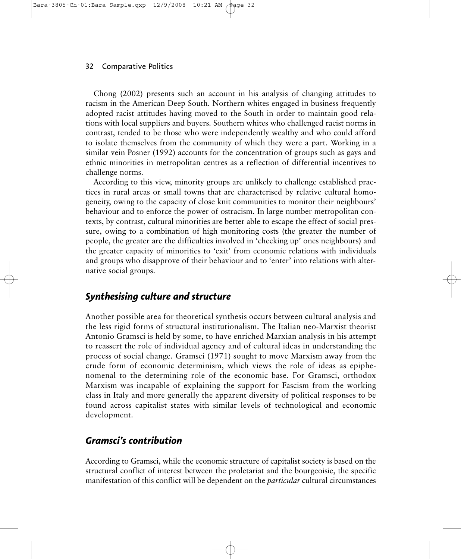Chong (2002) presents such an account in his analysis of changing attitudes to racism in the American Deep South. Northern whites engaged in business frequently adopted racist attitudes having moved to the South in order to maintain good relations with local suppliers and buyers. Southern whites who challenged racist norms in contrast, tended to be those who were independently wealthy and who could afford to isolate themselves from the community of which they were a part. Working in a similar vein Posner (1992) accounts for the concentration of groups such as gays and ethnic minorities in metropolitan centres as a reflection of differential incentives to challenge norms.

According to this view, minority groups are unlikely to challenge established practices in rural areas or small towns that are characterised by relative cultural homogeneity, owing to the capacity of close knit communities to monitor their neighbours' behaviour and to enforce the power of ostracism. In large number metropolitan contexts, by contrast, cultural minorities are better able to escape the effect of social pressure, owing to a combination of high monitoring costs (the greater the number of people, the greater are the difficulties involved in 'checking up' ones neighbours) and the greater capacity of minorities to 'exit' from economic relations with individuals and groups who disapprove of their behaviour and to 'enter' into relations with alternative social groups.

#### *Synthesising culture and structure*

Another possible area for theoretical synthesis occurs between cultural analysis and the less rigid forms of structural institutionalism. The Italian neo-Marxist theorist Antonio Gramsci is held by some, to have enriched Marxian analysis in his attempt to reassert the role of individual agency and of cultural ideas in understanding the process of social change. Gramsci (1971) sought to move Marxism away from the crude form of economic determinism, which views the role of ideas as epiphenomenal to the determining role of the economic base. For Gramsci, orthodox Marxism was incapable of explaining the support for Fascism from the working class in Italy and more generally the apparent diversity of political responses to be found across capitalist states with similar levels of technological and economic development.

#### *Gramsci's contribution*

According to Gramsci, while the economic structure of capitalist society is based on the structural conflict of interest between the proletariat and the bourgeoisie, the specific manifestation of this conflict will be dependent on the *particular* cultural circumstances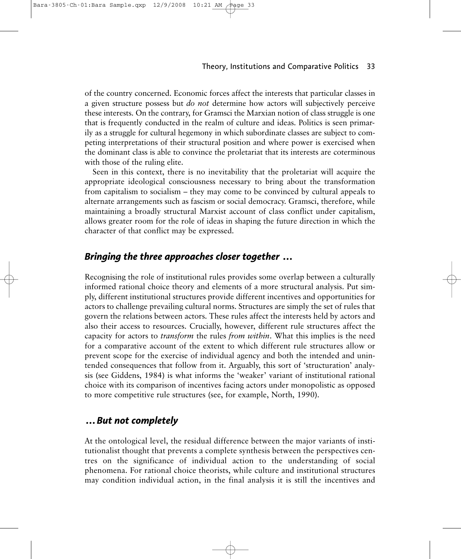of the country concerned. Economic forces affect the interests that particular classes in a given structure possess but *do not* determine how actors will subjectively perceive these interests. On the contrary, for Gramsci the Marxian notion of class struggle is one that is frequently conducted in the realm of culture and ideas. Politics is seen primarily as a struggle for cultural hegemony in which subordinate classes are subject to competing interpretations of their structural position and where power is exercised when the dominant class is able to convince the proletariat that its interests are coterminous with those of the ruling elite.

Seen in this context, there is no inevitability that the proletariat will acquire the appropriate ideological consciousness necessary to bring about the transformation from capitalism to socialism – they may come to be convinced by cultural appeals to alternate arrangements such as fascism or social democracy. Gramsci, therefore, while maintaining a broadly structural Marxist account of class conflict under capitalism, allows greater room for the role of ideas in shaping the future direction in which the character of that conflict may be expressed.

#### *Bringing the three approaches closer together …*

Recognising the role of institutional rules provides some overlap between a culturally informed rational choice theory and elements of a more structural analysis. Put simply, different institutional structures provide different incentives and opportunities for actors to challenge prevailing cultural norms. Structures are simply the set of rules that govern the relations between actors. These rules affect the interests held by actors and also their access to resources. Crucially, however, different rule structures affect the capacity for actors to *transform* the rules *from within*. What this implies is the need for a comparative account of the extent to which different rule structures allow or prevent scope for the exercise of individual agency and both the intended and unintended consequences that follow from it. Arguably, this sort of 'structuration' analysis (see Giddens, 1984) is what informs the 'weaker' variant of institutional rational choice with its comparison of incentives facing actors under monopolistic as opposed to more competitive rule structures (see, for example, North, 1990).

#### *… But not completely*

At the ontological level, the residual difference between the major variants of institutionalist thought that prevents a complete synthesis between the perspectives centres on the significance of individual action to the understanding of social phenomena. For rational choice theorists, while culture and institutional structures may condition individual action, in the final analysis it is still the incentives and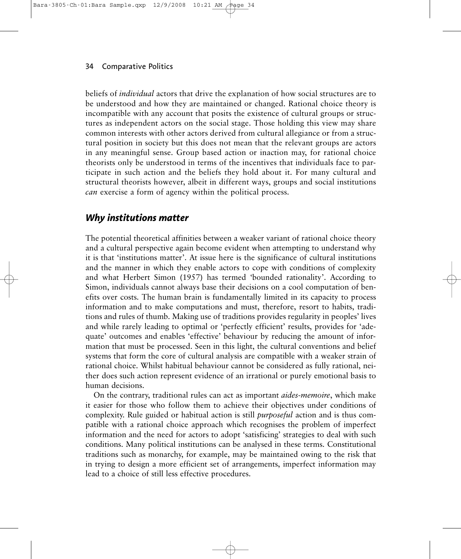beliefs of *individual* actors that drive the explanation of how social structures are to be understood and how they are maintained or changed. Rational choice theory is incompatible with any account that posits the existence of cultural groups or structures as independent actors on the social stage. Those holding this view may share common interests with other actors derived from cultural allegiance or from a structural position in society but this does not mean that the relevant groups are actors in any meaningful sense. Group based action or inaction may, for rational choice theorists only be understood in terms of the incentives that individuals face to participate in such action and the beliefs they hold about it. For many cultural and structural theorists however, albeit in different ways, groups and social institutions *can* exercise a form of agency within the political process.

#### *Why institutions matter*

The potential theoretical affinities between a weaker variant of rational choice theory and a cultural perspective again become evident when attempting to understand why it is that 'institutions matter'. At issue here is the significance of cultural institutions and the manner in which they enable actors to cope with conditions of complexity and what Herbert Simon (1957) has termed 'bounded rationality'. According to Simon, individuals cannot always base their decisions on a cool computation of benefits over costs. The human brain is fundamentally limited in its capacity to process information and to make computations and must, therefore, resort to habits, traditions and rules of thumb. Making use of traditions provides regularity in peoples' lives and while rarely leading to optimal or 'perfectly efficient' results, provides for 'adequate' outcomes and enables 'effective' behaviour by reducing the amount of information that must be processed. Seen in this light, the cultural conventions and belief systems that form the core of cultural analysis are compatible with a weaker strain of rational choice. Whilst habitual behaviour cannot be considered as fully rational, neither does such action represent evidence of an irrational or purely emotional basis to human decisions.

On the contrary, traditional rules can act as important *aides-memoire*, which make it easier for those who follow them to achieve their objectives under conditions of complexity. Rule guided or habitual action is still *purposeful* action and is thus compatible with a rational choice approach which recognises the problem of imperfect information and the need for actors to adopt 'satisficing' strategies to deal with such conditions. Many political institutions can be analysed in these terms. Constitutional traditions such as monarchy, for example, may be maintained owing to the risk that in trying to design a more efficient set of arrangements, imperfect information may lead to a choice of still less effective procedures.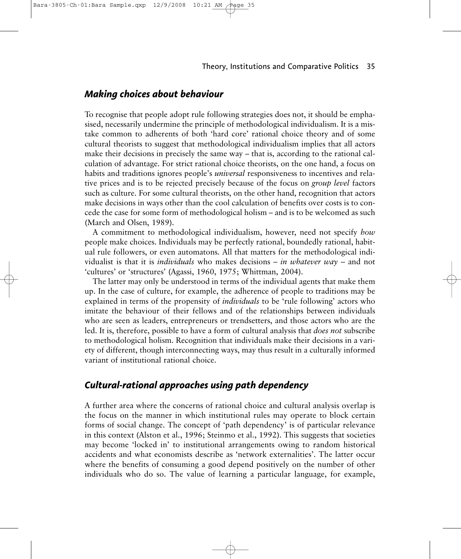To recognise that people adopt rule following strategies does not, it should be emphasised, necessarily undermine the principle of methodological individualism. It is a mistake common to adherents of both 'hard core' rational choice theory and of some cultural theorists to suggest that methodological individualism implies that all actors make their decisions in precisely the same way – that is, according to the rational calculation of advantage. For strict rational choice theorists, on the one hand, a focus on habits and traditions ignores people's *universal* responsiveness to incentives and relative prices and is to be rejected precisely because of the focus on *group level* factors such as culture. For some cultural theorists, on the other hand, recognition that actors make decisions in ways other than the cool calculation of benefits over costs is to concede the case for some form of methodological holism – and is to be welcomed as such (March and Olsen, 1989).

A commitment to methodological individualism, however, need not specify *how* people make choices. Individuals may be perfectly rational, boundedly rational, habitual rule followers, or even automatons. All that matters for the methodological individualist is that it is *individuals* who makes decisions – *in whatever way* – and not 'cultures' or 'structures' (Agassi, 1960, 1975; Whittman, 2004).

The latter may only be understood in terms of the individual agents that make them up. In the case of culture, for example, the adherence of people to traditions may be explained in terms of the propensity of *individuals* to be 'rule following' actors who imitate the behaviour of their fellows and of the relationships between individuals who are seen as leaders, entrepreneurs or trendsetters, and those actors who are the led. It is, therefore, possible to have a form of cultural analysis that *does not* subscribe to methodological holism. Recognition that individuals make their decisions in a variety of different, though interconnecting ways, may thus result in a culturally informed variant of institutional rational choice.

#### *Cultural-rational approaches using path dependency*

A further area where the concerns of rational choice and cultural analysis overlap is the focus on the manner in which institutional rules may operate to block certain forms of social change. The concept of 'path dependency' is of particular relevance in this context (Alston et al., 1996; Steinmo et al., 1992). This suggests that societies may become 'locked in' to institutional arrangements owing to random historical accidents and what economists describe as 'network externalities'. The latter occur where the benefits of consuming a good depend positively on the number of other individuals who do so. The value of learning a particular language, for example,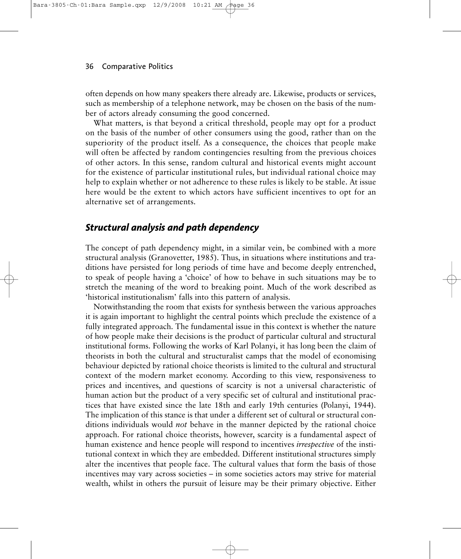often depends on how many speakers there already are. Likewise, products or services, such as membership of a telephone network, may be chosen on the basis of the number of actors already consuming the good concerned.

What matters, is that beyond a critical threshold, people may opt for a product on the basis of the number of other consumers using the good, rather than on the superiority of the product itself. As a consequence, the choices that people make will often be affected by random contingencies resulting from the previous choices of other actors. In this sense, random cultural and historical events might account for the existence of particular institutional rules, but individual rational choice may help to explain whether or not adherence to these rules is likely to be stable. At issue here would be the extent to which actors have sufficient incentives to opt for an alternative set of arrangements.

#### *Structural analysis and path dependency*

The concept of path dependency might, in a similar vein, be combined with a more structural analysis (Granovetter, 1985). Thus, in situations where institutions and traditions have persisted for long periods of time have and become deeply entrenched, to speak of people having a 'choice' of how to behave in such situations may be to stretch the meaning of the word to breaking point. Much of the work described as 'historical institutionalism' falls into this pattern of analysis.

Notwithstanding the room that exists for synthesis between the various approaches it is again important to highlight the central points which preclude the existence of a fully integrated approach. The fundamental issue in this context is whether the nature of how people make their decisions is the product of particular cultural and structural institutional forms. Following the works of Karl Polanyi, it has long been the claim of theorists in both the cultural and structuralist camps that the model of economising behaviour depicted by rational choice theorists is limited to the cultural and structural context of the modern market economy. According to this view, responsiveness to prices and incentives, and questions of scarcity is not a universal characteristic of human action but the product of a very specific set of cultural and institutional practices that have existed since the late 18th and early 19th centuries (Polanyi, 1944). The implication of this stance is that under a different set of cultural or structural conditions individuals would *not* behave in the manner depicted by the rational choice approach. For rational choice theorists, however, scarcity is a fundamental aspect of human existence and hence people will respond to incentives *irrespective* of the institutional context in which they are embedded. Different institutional structures simply alter the incentives that people face. The cultural values that form the basis of those incentives may vary across societies – in some societies actors may strive for material wealth, whilst in others the pursuit of leisure may be their primary objective. Either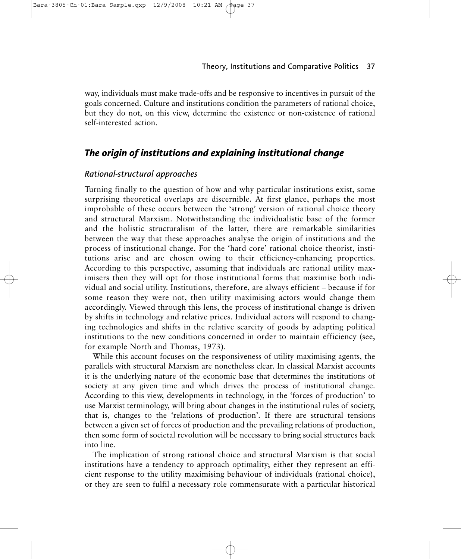way, individuals must make trade-offs and be responsive to incentives in pursuit of the goals concerned. Culture and institutions condition the parameters of rational choice, but they do not, on this view, determine the existence or non-existence of rational self-interested action.

#### *The origin of institutions and explaining institutional change*

#### *Rational-structural approaches*

Turning finally to the question of how and why particular institutions exist, some surprising theoretical overlaps are discernible. At first glance, perhaps the most improbable of these occurs between the 'strong' version of rational choice theory and structural Marxism. Notwithstanding the individualistic base of the former and the holistic structuralism of the latter, there are remarkable similarities between the way that these approaches analyse the origin of institutions and the process of institutional change. For the 'hard core' rational choice theorist, institutions arise and are chosen owing to their efficiency-enhancing properties. According to this perspective, assuming that individuals are rational utility maximisers then they will opt for those institutional forms that maximise both individual and social utility. Institutions, therefore, are always efficient – because if for some reason they were not, then utility maximising actors would change them accordingly. Viewed through this lens, the process of institutional change is driven by shifts in technology and relative prices. Individual actors will respond to changing technologies and shifts in the relative scarcity of goods by adapting political institutions to the new conditions concerned in order to maintain efficiency (see, for example North and Thomas, 1973).

While this account focuses on the responsiveness of utility maximising agents, the parallels with structural Marxism are nonetheless clear. In classical Marxist accounts it is the underlying nature of the economic base that determines the institutions of society at any given time and which drives the process of institutional change. According to this view, developments in technology, in the 'forces of production' to use Marxist terminology, will bring about changes in the institutional rules of society, that is, changes to the 'relations of production'. If there are structural tensions between a given set of forces of production and the prevailing relations of production, then some form of societal revolution will be necessary to bring social structures back into line.

The implication of strong rational choice and structural Marxism is that social institutions have a tendency to approach optimality; either they represent an efficient response to the utility maximising behaviour of individuals (rational choice), or they are seen to fulfil a necessary role commensurate with a particular historical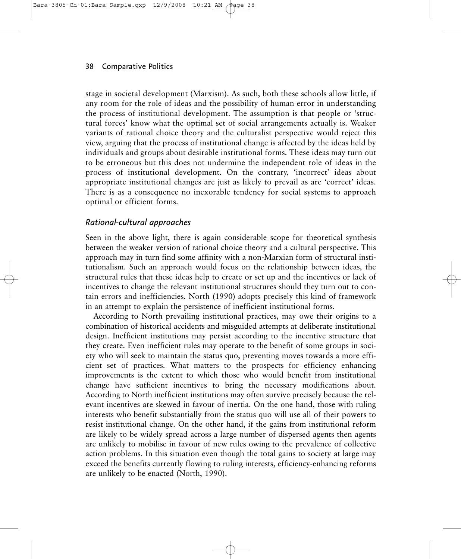stage in societal development (Marxism). As such, both these schools allow little, if any room for the role of ideas and the possibility of human error in understanding the process of institutional development. The assumption is that people or 'structural forces' know what the optimal set of social arrangements actually is. Weaker variants of rational choice theory and the culturalist perspective would reject this view, arguing that the process of institutional change is affected by the ideas held by individuals and groups about desirable institutional forms. These ideas may turn out to be erroneous but this does not undermine the independent role of ideas in the process of institutional development. On the contrary, 'incorrect' ideas about appropriate institutional changes are just as likely to prevail as are 'correct' ideas. There is as a consequence no inexorable tendency for social systems to approach optimal or efficient forms.

#### *Rational-cultural approaches*

Seen in the above light, there is again considerable scope for theoretical synthesis between the weaker version of rational choice theory and a cultural perspective. This approach may in turn find some affinity with a non-Marxian form of structural institutionalism. Such an approach would focus on the relationship between ideas, the structural rules that these ideas help to create or set up and the incentives or lack of incentives to change the relevant institutional structures should they turn out to contain errors and inefficiencies. North (1990) adopts precisely this kind of framework in an attempt to explain the persistence of inefficient institutional forms.

According to North prevailing institutional practices, may owe their origins to a combination of historical accidents and misguided attempts at deliberate institutional design. Inefficient institutions may persist according to the incentive structure that they create. Even inefficient rules may operate to the benefit of some groups in society who will seek to maintain the status quo, preventing moves towards a more efficient set of practices. What matters to the prospects for efficiency enhancing improvements is the extent to which those who would benefit from institutional change have sufficient incentives to bring the necessary modifications about. According to North inefficient institutions may often survive precisely because the relevant incentives are skewed in favour of inertia. On the one hand, those with ruling interests who benefit substantially from the status quo will use all of their powers to resist institutional change. On the other hand, if the gains from institutional reform are likely to be widely spread across a large number of dispersed agents then agents are unlikely to mobilise in favour of new rules owing to the prevalence of collective action problems. In this situation even though the total gains to society at large may exceed the benefits currently flowing to ruling interests, efficiency-enhancing reforms are unlikely to be enacted (North, 1990).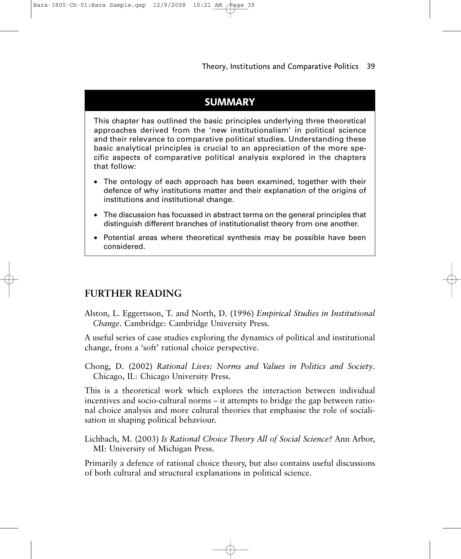## **SUMMARY**

This chapter has outlined the basic principles underlying three theoretical approaches derived from the 'new institutionalism' in political science and their relevance to comparative political studies. Understanding these basic analytical principles is crucial to an appreciation of the more specific aspects of comparative political analysis explored in the chapters that follow:

- The ontology of each approach has been examined, together with their defence of why institutions matter and their explanation of the origins of institutions and institutional change.
- The discussion has focussed in abstract terms on the general principles that distinguish different branches of institutionalist theory from one another.
- Potential areas where theoretical synthesis may be possible have been considered.

#### **FURTHER READING**

Alston, L. Eggertsson, T. and North, D. (1996) *Empirical Studies in Institutional Change*. Cambridge: Cambridge University Press.

A useful series of case studies exploring the dynamics of political and institutional change, from a 'soft' rational choice perspective.

Chong, D. (2002) *Rational Lives: Norms and Values in Politics and Society*. Chicago, IL: Chicago University Press.

This is a theoretical work which explores the interaction between individual incentives and socio-cultural norms – it attempts to bridge the gap between rational choice analysis and more cultural theories that emphasise the role of socialisation in shaping political behaviour.

Lichbach, M. (2003) *Is Rational Choice Theory All of Social Science?* Ann Arbor, MI: University of Michigan Press.

Primarily a defence of rational choice theory, but also contains useful discussions of both cultural and structural explanations in political science.